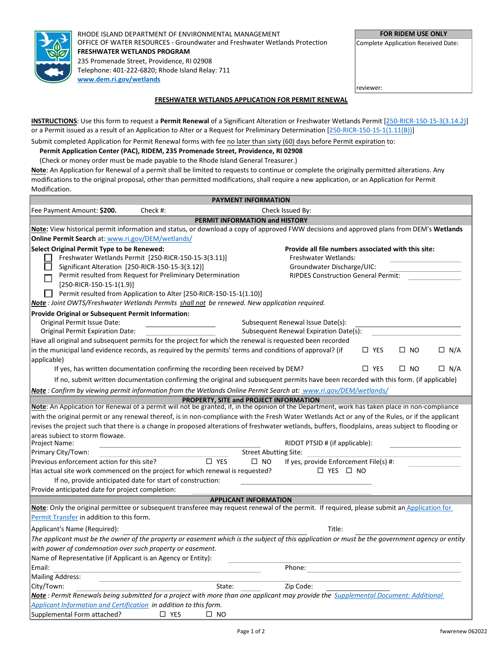

RHODE ISLAND DEPARTMENT OF ENVIRONMENTAL MANAGEMENT OFFICE OF WATER RESOURCES - Groundwater and Freshwater Wetlands Protection **FRESHWATER WETLANDS PROGRAM** 235 Promenade Street, Providence, RI 02908 Telephone: 401-222-6820; Rhode Island Relay: 711 **[www.dem.ri.gov/wetlands](http://www.dem.ri.gov/wetlands)**

**FOR RIDEM USE ONLY**

Complete Application Received Date:

reviewer:

## **FRESHWATER WETLANDS APPLICATION FOR PERMIT RENEWAL**

**INSTRUCTIONS**: Use this form to request a **Permit Renewal** of a Significant Alteration or Freshwater Wetlands Permit [\[250-RICR-150-15-3\(3.14.2\)\]](https://rules.sos.ri.gov/regulations/part/250-150-15-3) or a Permit issued as a result of an Application to Alter or a Request for Preliminary Determination [\[250-RICR-150-15-1\(1.11\(B\)\)\]](https://rules.sos.ri.gov/regulations/part/250-150-15-1)

Submit completed Application for Permit Renewal forms with fee no later than sixty (60) days before Permit expiration to:

## **Permit Application Center (PAC), RIDEM, 235 Promenade Street, Providence, RI 02908**

(Check or money order must be made payable to the Rhode Island General Treasurer.)

**Note**: An Application for Renewal of a permit shall be limited to requests to continue or complete the originally permitted alterations. Any modifications to the original proposal, other than permitted modifications, shall require a new application, or an Application for Permit Modification.

| <b>PAYMENT INFORMATION</b>                                                                                                         |                                                                                                                                                    |  |  |  |
|------------------------------------------------------------------------------------------------------------------------------------|----------------------------------------------------------------------------------------------------------------------------------------------------|--|--|--|
| Fee Payment Amount: \$200.<br>Check #:                                                                                             | Check Issued By:                                                                                                                                   |  |  |  |
| PERMIT INFORMATION and HISTORY                                                                                                     |                                                                                                                                                    |  |  |  |
|                                                                                                                                    | Note: View historical permit information and status, or download a copy of approved FWW decisions and approved plans from DEM's Wetlands           |  |  |  |
| <b>Online Permit Search at: www.ri.gov/DEM/wetlands/</b>                                                                           |                                                                                                                                                    |  |  |  |
| Select Original Permit Type to be Renewed:                                                                                         | Provide all file numbers associated with this site:                                                                                                |  |  |  |
| Freshwater Wetlands Permit [250-RICR-150-15-3(3.11)]                                                                               | Freshwater Wetlands:                                                                                                                               |  |  |  |
| Significant Alteration [250-RICR-150-15-3(3.12)]                                                                                   | Groundwater Discharge/UIC:                                                                                                                         |  |  |  |
| Permit resulted from Request for Preliminary Determination                                                                         | <b>RIPDES Construction General Permit:</b>                                                                                                         |  |  |  |
| $[250-RICR-150-15-1(1.9)]$                                                                                                         |                                                                                                                                                    |  |  |  |
| Permit resulted from Application to Alter [250-RICR-150-15-1(1.10)]                                                                |                                                                                                                                                    |  |  |  |
| Note: Joint OWTS/Freshwater Wetlands Permits shall not be renewed. New application required.                                       |                                                                                                                                                    |  |  |  |
| <b>Provide Original or Subsequent Permit Information:</b>                                                                          |                                                                                                                                                    |  |  |  |
| Original Permit Issue Date:                                                                                                        | Subsequent Renewal Issue Date(s):                                                                                                                  |  |  |  |
| <b>Original Permit Expiration Date:</b>                                                                                            | Subsequent Renewal Expiration Date(s):                                                                                                             |  |  |  |
| Have all original and subsequent permits for the project for which the renewal is requested been recorded                          |                                                                                                                                                    |  |  |  |
| in the municipal land evidence records, as required by the permits' terms and conditions of approval? (if                          | $\square$ YES<br>$\Box$<br><b>NO</b><br>$\Box$ N/A                                                                                                 |  |  |  |
| applicable)                                                                                                                        |                                                                                                                                                    |  |  |  |
| If yes, has written documentation confirming the recording been received by DEM?                                                   | $\Box$ YES<br>$\square$ NO<br>$\Box$ N/A                                                                                                           |  |  |  |
|                                                                                                                                    | If no, submit written documentation confirming the original and subsequent permits have been recorded with this form. (if applicable)              |  |  |  |
| Note: Confirm by viewing permit information from the Wetlands Online Permit Search at: www.ri.gov/DEM/wetlands/                    |                                                                                                                                                    |  |  |  |
| PROPERTY, SITE and PROJECT INFORMATION                                                                                             |                                                                                                                                                    |  |  |  |
|                                                                                                                                    | Note: An Application for Renewal of a permit will not be granted, if, in the opinion of the Department, work has taken place in non-compliance     |  |  |  |
|                                                                                                                                    | with the original permit or any renewal thereof, is in non-compliance with the Fresh Water Wetlands Act or any of the Rules, or if the applicant   |  |  |  |
|                                                                                                                                    | revises the project such that there is a change in proposed alterations of freshwater wetlands, buffers, floodplains, areas subject to flooding or |  |  |  |
| areas subject to storm flowage.<br>Project Name:                                                                                   | RIDOT PTSID # (if applicable):                                                                                                                     |  |  |  |
| Primary City/Town:                                                                                                                 | <b>Street Abutting Site:</b>                                                                                                                       |  |  |  |
| $\square$ YES<br>Previous enforcement action for this site?                                                                        | If yes, provide Enforcement File(s) #:<br>$\square$ NO                                                                                             |  |  |  |
| Has actual site work commenced on the project for which renewal is requested?                                                      | $\Box$ YES $\Box$ NO                                                                                                                               |  |  |  |
| If no, provide anticipated date for start of construction:                                                                         |                                                                                                                                                    |  |  |  |
| Provide anticipated date for project completion:                                                                                   |                                                                                                                                                    |  |  |  |
| <b>APPLICANT INFORMATION</b>                                                                                                       |                                                                                                                                                    |  |  |  |
|                                                                                                                                    | Note: Only the original permittee or subsequent transferee may request renewal of the permit. If required, please submit an Application for        |  |  |  |
| Permit Transfer in addition to this form.                                                                                          |                                                                                                                                                    |  |  |  |
| Applicant's Name (Required):                                                                                                       | Title:                                                                                                                                             |  |  |  |
|                                                                                                                                    | The applicant must be the owner of the property or easement which is the subject of this application or must be the government agency or entity    |  |  |  |
| with power of condemnation over such property or easement.                                                                         |                                                                                                                                                    |  |  |  |
| Name of Representative (if Applicant is an Agency or Entity):                                                                      |                                                                                                                                                    |  |  |  |
| Email:                                                                                                                             | Phone:                                                                                                                                             |  |  |  |
| Mailing Address:                                                                                                                   |                                                                                                                                                    |  |  |  |
| City/Town:<br>State:                                                                                                               | Zip Code:                                                                                                                                          |  |  |  |
| Note: Permit Renewals being submitted for a project with more than one applicant may provide the Supplemental Document: Additional |                                                                                                                                                    |  |  |  |
| Applicant Information and Certification in addition to this form.                                                                  |                                                                                                                                                    |  |  |  |
| Supplemental Form attached?<br>$\Box$ YES<br>$\square$ NO                                                                          |                                                                                                                                                    |  |  |  |